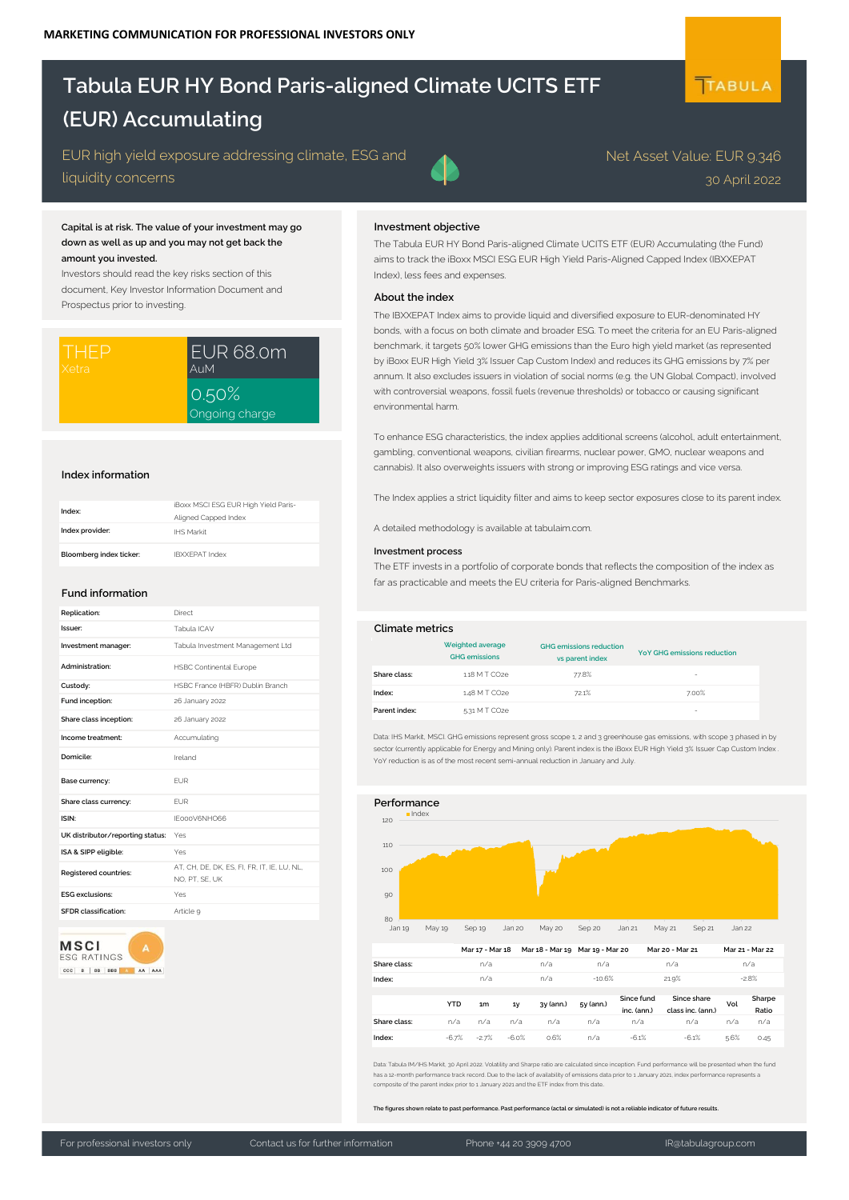# **Tabula EUR HY Bond Paris-aligned Climate UCITS ETF (EUR) Accumulating**

EUR high yield exposure addressing climate, ESG and liquidity concerns

## **Capital is at risk. The value of your investment may go down as well as up and you may not get back the amount you invested.**

Investors should read the key risks section of this document, Key Investor Information Document and Prospectus prior to investing.

| ITHEP | EUR 68.0m               |  |
|-------|-------------------------|--|
| Xetra | <b>AuM</b>              |  |
|       | 0.50%<br>Ongoing charge |  |

### **Index information**

| Index:                  | iBoxx MSCI ESG EUR High Yield Paris-<br>Aligned Capped Index |
|-------------------------|--------------------------------------------------------------|
| Index provider:         | IHS Markit                                                   |
| Bloomberg index ticker: | <b>IBXXFPAT Index</b>                                        |

### **Fund information**

| Replication:                     | Direct                                                        |                                                                                          |
|----------------------------------|---------------------------------------------------------------|------------------------------------------------------------------------------------------|
| Issuer:                          | Tabula ICAV                                                   | <b>Climate metrics</b>                                                                   |
| Investment manager:              | Tabula Investment Management Ltd                              |                                                                                          |
| Administration:                  | <b>HSBC Continental Europe</b>                                | Share class:                                                                             |
| Custody:                         | HSBC France (HBFR) Dublin Branch                              | Index:                                                                                   |
| Fund inception:                  | 26 January 2022                                               |                                                                                          |
| Share class inception:           | 26 January 2022                                               | Parent index:                                                                            |
| Income treatment:                | Accumulating                                                  | Data: IHS Markit, MSCI, GHG emissions re                                                 |
| Domicile:                        | Ireland                                                       | sector (currently applicable for Energy ar<br>YoY reduction is as of the most recent set |
| Base currency:                   | <b>EUR</b>                                                    |                                                                                          |
| Share class currency:            | <b>FUR</b>                                                    | Performance                                                                              |
| ISIN:                            | IE000V6NHO66                                                  | 120                                                                                      |
| UK distributor/reporting status: | Yes                                                           |                                                                                          |
| ISA & SIPP eligible:             | Yes                                                           | 110                                                                                      |
| Registered countries:            | AT. CH. DE. DK. ES. FI. FR. IT. IE. LU. NL.<br>NO. PT. SE. UK | 100                                                                                      |
| <b>ESG</b> exclusions:           | Yes                                                           | 90                                                                                       |
| <b>SFDR</b> classification:      | Article 9                                                     |                                                                                          |
|                                  |                                                               | 80                                                                                       |



#### **Investment objective**

The Tabula EUR HY Bond Paris-aligned Climate UCITS ETF (EUR) Accumulating (the Fund) aims to track the iBoxx MSCI ESG EUR High Yield Paris-Aligned Capped Index (IBXXEPAT Index), less fees and expenses.

#### **About the index**

The IBXXEPAT Index aims to provide liquid and diversified exposure to EUR-denominated HY bonds, with a focus on both climate and broader ESG. To meet the criteria for an EU Paris-aligned benchmark, it targets 50% lower GHG emissions than the Euro high yield market (as represented by iBoxx EUR High Yield 3% Issuer Cap Custom Index) and reduces its GHG emissions by 7% per annum. It also excludes issuers in violation of social norms (e.g. the UN Global Compact), involved with controversial weapons, fossil fuels (revenue thresholds) or tobacco or causing significant environmental harm.

To enhance ESG characteristics, the index applies additional screens (alcohol, adult entertainment, gambling, conventional weapons, civilian firearms, nuclear power, GMO, nuclear weapons and cannabis). It also overweights issuers with strong or improving ESG ratings and vice versa.

The Index applies a strict liquidity filter and aims to keep sector exposures close to its parent index.

A detailed methodology is available at tabulaim.com.

### **Investment process**

The ETF invests in a portfolio of corporate bonds that reflects the composition of the index as far as practicable and meets the EU criteria for Paris-aligned Benchmarks.

#### **Climate metrics**

|               | Weighted average<br><b>GHG</b> emissions | <b>GHG</b> emissions reduction<br>vs parent index | <b>YoY GHG emissions reduction</b> |
|---------------|------------------------------------------|---------------------------------------------------|------------------------------------|
| Share class:  | 118 M T CO2e                             | 77.8%                                             | ۰                                  |
| Index:        | 1.48 M T CO2e                            | 72.1%                                             | 7.00%                              |
| Parent index: | 5.31 M T CO2e                            |                                                   | -                                  |

Data: IHS Markit, MSCI. GHG emissions represent gross scope 1, 2 and 3 greenhouse gas emissions, with scope 3 phased in by sector (currently applicable for Energy and Mining only). Parent index is the iBoxx EUR High Yield 3% Issuer Cap Custom Index YoY reduction is as of the most recent semi-annual reduction in January and July.



|              | <b>YTD</b> | 1 <sub>m</sub> | 1y      | 3y (ann.) | 5y (ann.) | Since fund<br>inc. (ann.) | Since share<br>class inc. (ann.) | Vol  | Sharpe<br>Ratio |
|--------------|------------|----------------|---------|-----------|-----------|---------------------------|----------------------------------|------|-----------------|
| Share class: | n/a        | n/a            | n/a     | n/a       | n/a       | n/a                       | n/a                              | n/a  | n/a             |
| Index:       | $-6.7%$    | $-2.7%$        | $-6.0%$ | 0.6%      | n/a       | $-6.1%$                   | $-6.1%$                          | 5.6% | 0.45            |

Data: Tabula IM/IHS Markit, 30 April 2022. Volatility and Sharpe ratio are calculated since inception. Fund performance will be presented when the fund has a 12-month performance track record. Due to the lack of availability of emissions data prior to 1 January 2021, index performance represents a<br>composite of the parent index prior to 1 January 2021 and the ETF index fro

**The figures shown relate to past performance. Past performance (actal or simulated) is not a reliable indicator of future results.**

30 April 2022

Net Asset Value: EUR 9.346